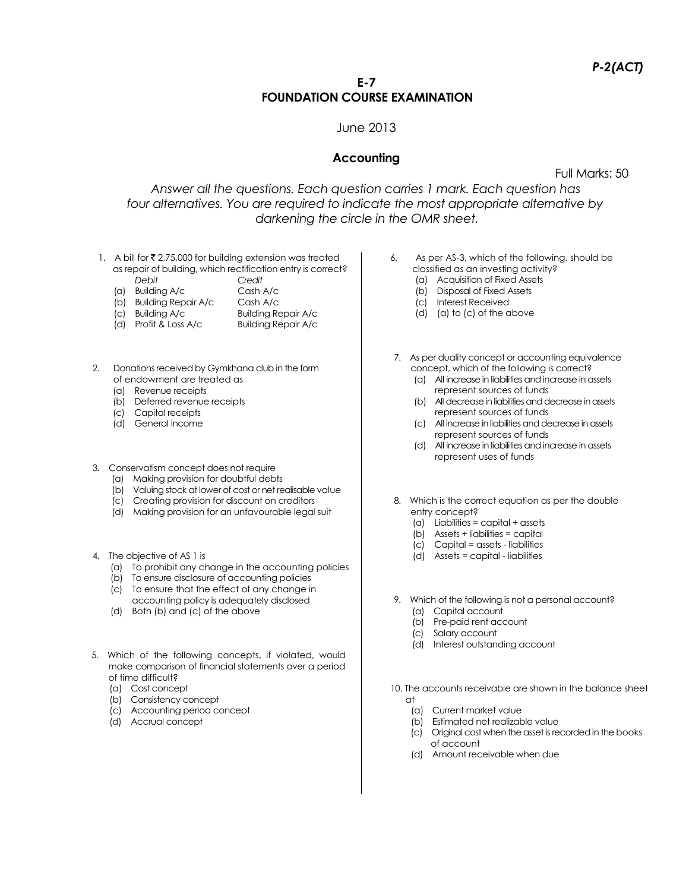# **E-7 FOUNDATION COURSE EXAMINATION**

### June 2013

# **Accounting**

Full Marks: 50

*Answer all the questions. Each question carries 1 mark. Each question has four alternatives. You are required to indicate the most appropriate alternative by darkening the circle in the OMR sheet.*

- 1. A bill for  $\bar{\tau}$  2,75,000 for building extension was treated as repair of building, which rectification entry is correct?
	- *Debit Credit*
	- (a) Building A/c Cash A/c
	- (b) Building Repair A/c Cash A/c
	- (c) Building A/c Building Repair A/c<br>
	(d) Profit & Loss A/c Building Repair A/c
	- $\overline{d}$  Profit & Loss A/c
- 2. Donations received by Gymkhana club in the form of endowment are treated as
	- (a) Revenue receipts
	- (b) Deferred revenue receipts
	- (c) Capital receipts
	- (d) General income
- 3. Conservatism concept does not require
	- (a) Making provision for doubtful debts
	- (b) Valuing stock at lower of cost or net realisable value
	- (c) Creating provision for discount on creditors
	- (d) Making provision for an unfavourable legal suit
- 4. The objective of AS 1 is
	- (a) To prohibit any change in the accounting policies
	- (b) To ensure disclosure of accounting policies
	- (c) To ensure that the effect of any change in
	- accounting policy is adequately disclosed (d) Both (b) and (c) of the above
- 5. Which of the following concepts, if violated, would make comparison of financial statements over a period of time difficult?
	- (a) Cost concept
	- (b) Consistency concept
	- (c) Accounting period concept
	- (d) Accrual concept
- 6. As per AS-3, which of the following, should be classified as an investing activity?
	- (a) Acquisition of Fixed Assets
	- (b) Disposal of Fixed Assets
	- (c) Interest Received
	- (d) (a) to (c) of the above
- 7. As per duality concept or accounting equivalence concept, which of the following is correct?
	- (a) All increase in liabilities and increase in assets represent sources of funds
	- (b) All decrease in liabilities and decrease in assets represent sources of funds
	- (c) All increase in liabilities and decrease in assets represent sources of funds
	- (d) All increase in liabilities and increase in assets represent uses of funds
- 8. Which is the correct equation as per the double entry concept?
	- (a) Liabilities = capital + assets
	- (b) Assets + liabilities = capital
	- (c) Capital = assets liabilities
	- (d) Assets = capital liabilities
- 9. Which of the following is not a personal account?
	- (a) Capital account (b) Pre-paid rent account
	-
	- (c) Salary account
	- (d) Interest outstanding account

10. The accounts receivable are shown in the balance sheet  $\cap$ t

- (a) Current market value
- (b) Estimated net realizable value
- (c) Original cost when the asset is recorded in the books of account
- (d) Amount receivable when due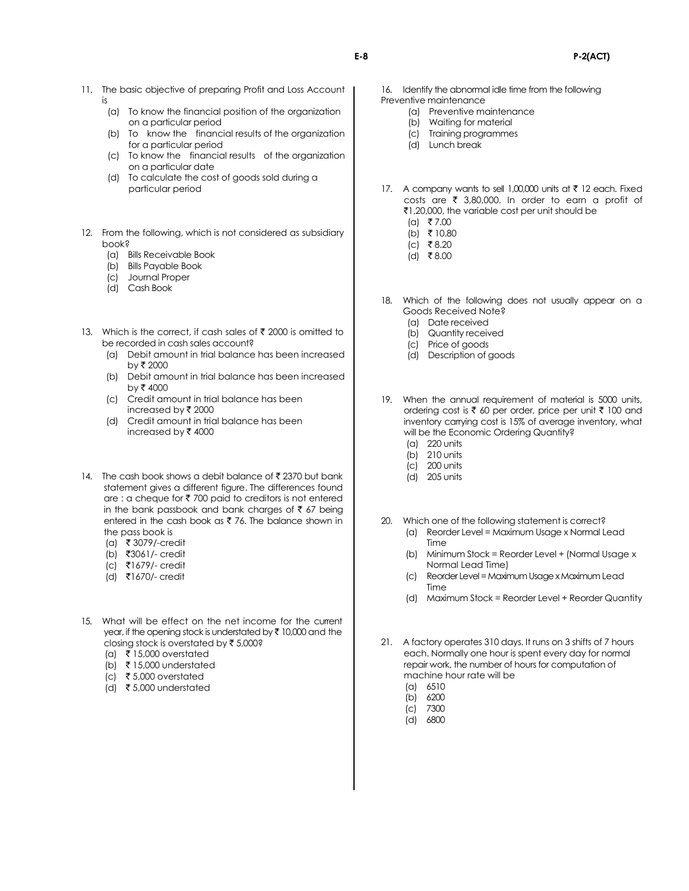- 11. The basic objective of preparing Profit and Loss Account is
	- (a) To know the financial position of the organization on a particular period
	- (b) To know the financial results of the organization for a particular period
	- (c) To know the financial results of the organization on a particular date
	- (d) To calculate the cost of goods sold during a particular period
- 12. From the following, which is not considered as subsidiary book?
	- (a) Bills Receivable Book
	- (b) Bills Payable Book
	- (c) Journal Proper
	- (d) Cash Book
- 13. Which is the correct, if cash sales of  $\bar{\tau}$  2000 is omitted to be recorded in cash sales account?
	- (a) Debit amount in trial balance has been increased by ₹ 2000
	- (b) Debit amount in trial balance has been increased  $by ₹ 4000$
	- (c) Credit amount in trial balance has been increased by  $\bar{\tau}$  2000
	- (d) Credit amount in trial balance has been increased by  $\bar{\bar{\tau}}$  4000
- 14. The cash book shows a debit balance of  $\bar{\mathfrak{c}}$  2370 but bank statement gives a different figure. The differences found are : a cheque for  $\bar{\tau}$  700 paid to creditors is not entered in the bank passbook and bank charges of  $\bar{\tau}$  67 being entered in the cash book as  $\bar{z}$  76. The balance shown in the pass book is
	- (a) ` 3079/-credit
	- (b) `3061/- credit
	- (c) `1679/- credit
	- (d) `1670/- credit
- 15. What will be effect on the net income for the current year, if the opening stock is understated by  $\bar{\tau}$  10,000 and the closing stock is overstated by  $\bar{\tau}$  5,000?
	- (a) ₹ 15,000 overstated
	- (b)  $\bar{\tau}$  15,000 understated
	- (c) ₹5,000 overstated
	- (d)  $\bar{\tau}$  5,000 understated
- 16. Identify the abnormal idle time from the following Preventive maintenance
	- (a) Preventive maintenance
	- (b) Waiting for material
	- (c) Training programmes
	- (d) Lunch break
- 17. A company wants to sell 1,00,000 units at  $\bar{\tau}$  12 each. Fixed costs are  $\bar{\tau}$  3,80,000. In order to earn a profit of `1,20,000, the variable cost per unit should be
	- $(a)$  ₹7.00
	- (b) ₹ 10.80
	- $(c)$  ₹8.20
	- $(d)$  ₹8.00
- 18. Which of the following does not usually appear on a Goods Received Note?
	- (a) Date received
	- (b) Quantity received
	- (c) Price of goods
	- (d) Description of goods
- 19. When the annual requirement of material is 5000 units, ordering cost is  $\bar{\tau}$  60 per order, price per unit  $\bar{\tau}$  100 and inventory carrying cost is 15% of average inventory, what will be the Economic Ordering Quantity?
	- (a) 220 units
	- (b) 210 units
	- (c) 200 units
	- (d) 205 units
- 20. Which one of the following statement is correct?
	- (a) Reorder Level = Maximum Usage x Normal Lead Time
	- (b) Minimum Stock = Reorder Level + (Normal Usage x Normal Lead Time)
	- (c) Reorder Level = Maximum Usage x Maximum Lead Time
	- (d) Maximum Stock = Reorder Level + Reorder Quantity
- 21. A factory operates 310 days. It runs on 3 shifts of 7 hours each. Normally one hour is spent every day for normal repair work, the number of hours for computation of machine hour rate will be
	- (a) 6510
	- (b) 6200
	- (c) 7300
	- (d) 6800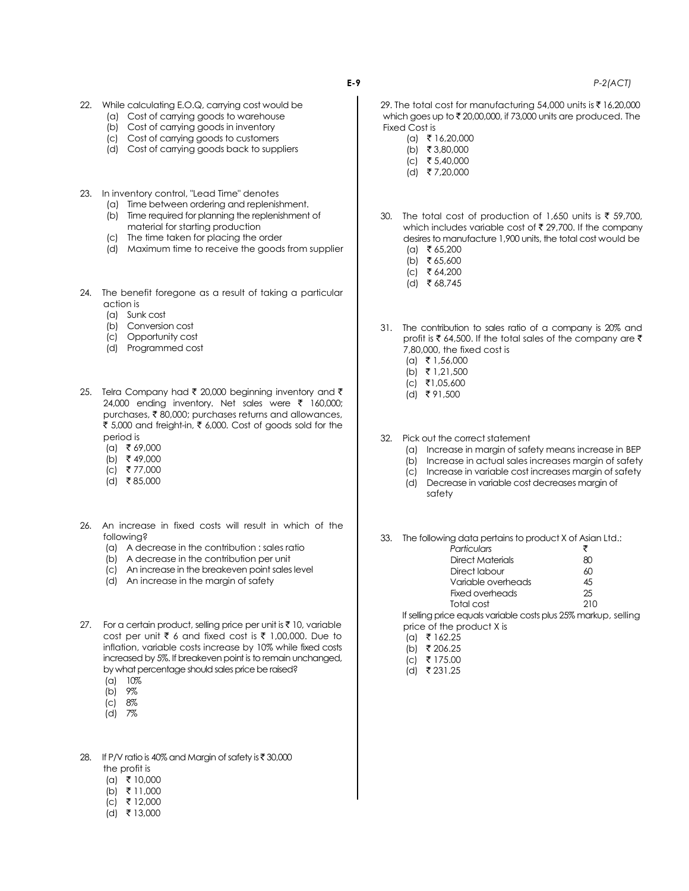- 22. While calculating E.O.Q, carrying cost would be
	- (a) Cost of carrying goods to warehouse
	- (b) Cost of carrying goods in inventory
	- (c) Cost of carrying goods to customers
	- (d) Cost of carrying goods back to suppliers
- 23. In inventory control, "Lead Time" denotes
	- (a) Time between ordering and replenishment.
	- (b) Time required for planning the replenishment of material for starting production
	- (c) The time taken for placing the order
	- (d) Maximum time to receive the goods from supplier
- 24. The benefit foregone as a result of taking a particular action is
	- (a) Sunk cost
	- (b) Conversion cost
	- (c) Opportunity cost
	- (d) Programmed cost
- 25. Telra Company had ₹ 20,000 beginning inventory and ₹ 24,000 ending inventory. Net sales were  $\bar{\tau}$  160,000; purchases, ₹80,000; purchases returns and allowances, ₹ 5,000 and freight-in, ₹ 6,000. Cost of goods sold for the period is
	- $(a) \t5 69,000$
	- (b) ₹ 49,000
	- $(c)$  ₹ 77,000
	- $(d)$  ₹85,000
- 26. An increase in fixed costs will result in which of the following?
	- (a) A decrease in the contribution : sales ratio
	- (b) A decrease in the contribution per unit
	- (c) An increase in the breakeven point sales level
	- (d) An increase in the margin of safety
- 27. For a certain product, selling price per unit is  $\bar{\tau}$  10, variable cost per unit  $\bar{\tau}$  6 and fixed cost is  $\bar{\tau}$  1,00,000. Due to inflation, variable costs increase by 10% while fixed costs increased by 5%. If breakeven point is to remain unchanged, by what percentage should sales price be raised?
	- (a) 10%
	- (b) 9%
	- (c) 8%
	- (d) 7%
- 28. If P/V ratio is 40% and Margin of safety is  $\bar{\tau}$  30,000 the profit is
	- $(a)$  ₹ 10,000
	- $(b)$  ₹ 11,000
	- $(c)$  ₹ 12,000
	- $(d)$  ₹ 13,000
- 29. The total cost for manufacturing 54,000 units is ₹ 16,20,000 which goes up to  $\bar{\tau}$  20,00,000, if 73,000 units are produced. The Fixed Cost is  $(a)$  ₹ 16,20,000
	- (b) ₹ 3,80,000
	- $(c)$  ₹ 5,40,000
	- $(d)$  ₹7,20,000
	-
	- 30. The total cost of production of 1,650 units is  $\overline{\tau}$  59,700, which includes variable cost of  $\bar{\tau}$  29,700. If the company desires to manufacture 1,900 units, the total cost would be  $(a)$  ₹ 65,200
		- (b) ₹65,600
		- $(c)$   $\overline{6}$  64,200
		- $(d)$  ₹ 68,745
	- 31. The contribution to sales ratio of a company is 20% and profit is  $\bar{\tau}$  64,500. If the total sales of the company are  $\bar{\tau}$ 7,80,000, the fixed cost is
		- $(a) \quad \overline{5} \quad 1,56,000$
		- (b) ₹ 1,21,500
		- $|c|$  ₹1,05,600
		- $(d)$  ₹91,500
	- 32. Pick out the correct statement
		- (a) Increase in margin of safety means increase in BEP
		- (b) Increase in actual sales increases margin of safety
		- (c) Increase in variable cost increases margin of safety
		- (d) Decrease in variable cost decreases margin of safety

33. The following data pertains to product X of Asian Ltd.:

| Particulars        | ₹   |
|--------------------|-----|
| Direct Materials   | ണ   |
| Direct labour      | ሐበ  |
| Variable overheads | 45  |
| Fixed overheads    | 25  |
| Total cost         | 210 |

If selling price equals variable costs plus 25% markup, selling price of the product X is

- $(a)$  ₹ 162.25
- $(b)$  ₹ 206.25
- $(c)$  ₹ 175.00
- (d) ₹ 231.25

**E-9** *P-2(ACT)*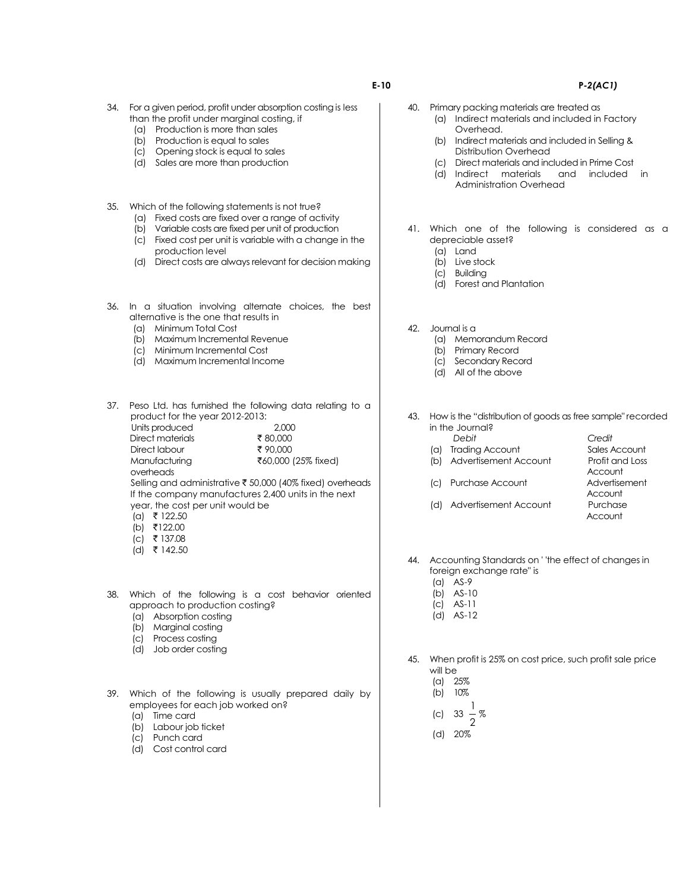- 34. For a given period, profit under absorption costing is less than the profit under marginal costing, if
	- (a) Production is more than sales
	- (b) Production is equal to sales
	- (c) Opening stock is equal to sales
	- (d) Sales are more than production
- 35. Which of the following statements is not true?
	- (a) Fixed costs are fixed over a range of activity
	- (b) Variable costs are fixed per unit of production
	- (c) Fixed cost per unit is variable with a change in the production level
	- (d) Direct costs are always relevant for decision making
- 36. In a situation involving alternate choices, the best alternative is the one that results in
	- (a) Minimum Total Cost
	- (b) Maximum Incremental Revenue
	- (c) Minimum Incremental Cost
	- (d) Maximum Incremental Income

37. Peso Ltd. has furnished the following data relating to a product for the year 2012-2013: Units produced 2,000 Direct materials  $\qquad$  ₹ 80,000 Direct labour ₹90,000<br>Manufacturing ₹60,000 ₹60,000 (25% fixed) overheads Selling and administrative ₹ 50,000 (40% fixed) overheads

If the company manufactures 2,400 units in the next year, the cost per unit would be

- $(a)$  ₹ 122.50
- $(b)$  ₹122.00  $(c)$  ₹ 137.08
- $(d)$  ₹ 142.50
- 38. Which of the following is a cost behavior oriented approach to production costing?
	- (a) Absorption costing
	- (b) Marginal costing
	- (c) Process costing
	- (d) Job order costing

39. Which of the following is usually prepared daily by employees for each job worked on?

- (a) Time card
- (b) Labour job ticket
- (c) Punch card
- (d) Cost control card
- 40. Primary packing materials are treated as
	- (a) Indirect materials and included in Factory Overhead.
		- (b) Indirect materials and included in Selling & Distribution Overhead
		- (c) Direct materials and included in Prime Cost
		- (d) Indirect materials and included in Administration Overhead
- 41. Which one of the following is considered as a depreciable asset?
	- (a) Land
	- (b) Live stock
	- (c) Building
	- (d) Forest and Plantation
- 42. Journal is a
	- (a) Memorandum Record
	- (b) Primary Record
	- (c) Secondary Record
	- (d) All of the above

43. How is the "distribution of goods as free sample" recorded in the Journal? *Debit Credit*

- 
- (b) Advertisement Account Profit and Loss
- (c) Purchase Account Advertisement
- (a) Trading Account Sales Account **Account Account** Account
	- (d) Advertisement Account Purchase
- 44. Accounting Standards on ' 'the effect of changes in foreign exchange rate" is
	- (a) AS-9
	- (b) AS-10
	- (c) AS-11
	- (d) AS-12

45. When profit is 25% on cost price, such profit sale price will be

- (a) 25%
- (b) 10%
- 1 %
- (c) 33 2
- (d) 20%

#### **E-10 P***-2(AC1)*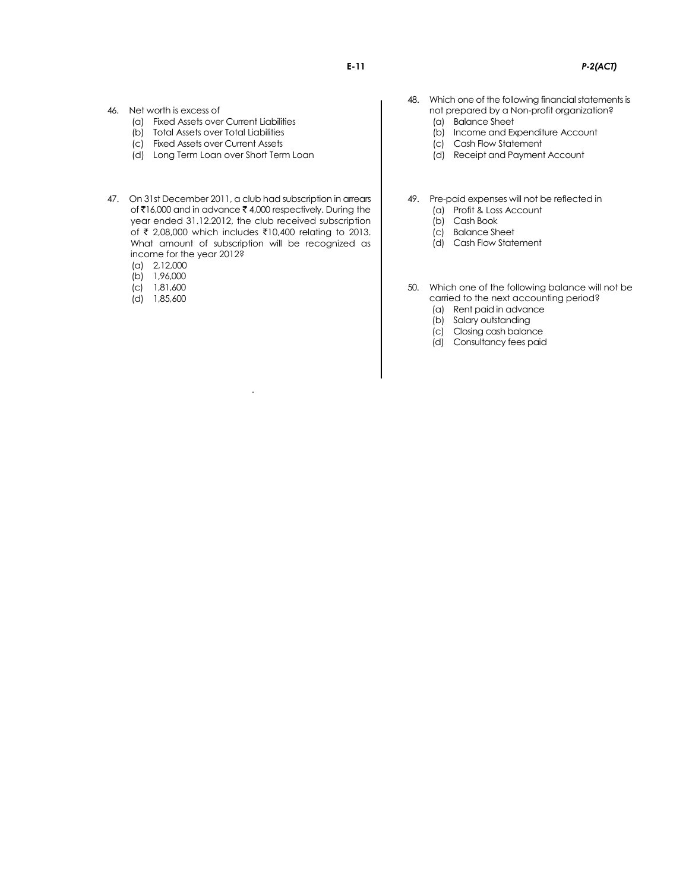- 46. Net worth is excess of
	- (a) Fixed Assets over Current Liabilities
	- (b) Total Assets over Total Liabilities
	- (c) Fixed Assets over Current Assets
	- (d) Long Term Loan over Short Term Loan
- 47. On 31st December 2011, a club had subscription in arrears of  $\bar{\tau}$ 16,000 and in advance  $\bar{\tau}$  4,000 respectively. During the year ended 31.12.2012, the club received subscription of ₹ 2,08,000 which includes ₹10,400 relating to 2013. What amount of subscription will be recognized as income for the year 2012?

*.*

- (a) 2,12,000
- (b) 1,96,000
- (c) 1,81,600
- (d) 1,85,600
- 48. Which one of the following financial statements is not prepared by a Non-profit organization?
	- (a) Balance Sheet
	- (b) Income and Expenditure Account
	- (c) Cash Flow Statement
	- (d) Receipt and Payment Account
- 49. Pre-paid expenses will not be reflected in
	- (a) Profit & Loss Account
	- (b) Cash Book
	- (c) Balance Sheet (d) Cash Flow Statement
- 50. Which one of the following balance will not be carried to the next accounting period?
	- (a) Rent paid in advance
	- (b) Salary outstanding
	- (c) Closing cash balance
	- (d) Consultancy fees paid